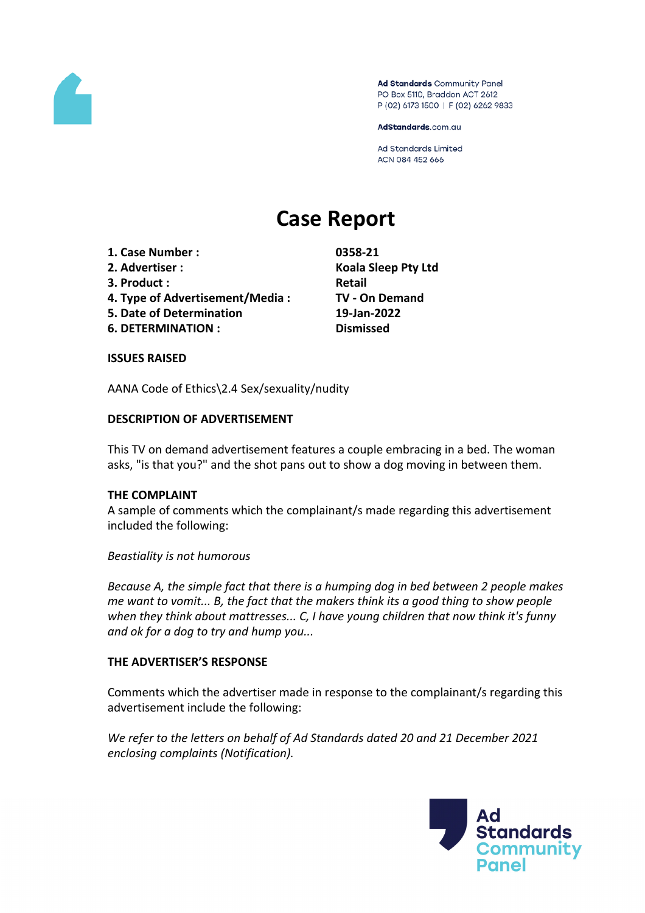

Ad Standards Community Panel PO Box 5110, Braddon ACT 2612 P (02) 6173 1500 | F (02) 6262 9833

AdStandards.com.au

Ad Standards Limited ACN 084 452 666

# **Case Report**

- **1. Case Number : 0358-21**
- 
- **3. Product**: **Retail**
- **4. Type of Advertisement/Media : TV - On Demand**
- **5. Date of Determination 19-Jan-2022**
- **6. DETERMINATION : Dismissed**

**2. Advertiser : Koala Sleep Pty Ltd**

## **ISSUES RAISED**

AANA Code of Ethics\2.4 Sex/sexuality/nudity

## **DESCRIPTION OF ADVERTISEMENT**

This TV on demand advertisement features a couple embracing in a bed. The woman asks, "is that you?" and the shot pans out to show a dog moving in between them.

## **THE COMPLAINT**

A sample of comments which the complainant/s made regarding this advertisement included the following:

*Beastiality is not humorous*

*Because A, the simple fact that there is a humping dog in bed between 2 people makes me want to vomit... B, the fact that the makers think its a good thing to show people when they think about mattresses... C, I have young children that now think it's funny and ok for a dog to try and hump you...*

# **THE ADVERTISER'S RESPONSE**

Comments which the advertiser made in response to the complainant/s regarding this advertisement include the following:

*We refer to the letters on behalf of Ad Standards dated 20 and 21 December 2021 enclosing complaints (Notification).*

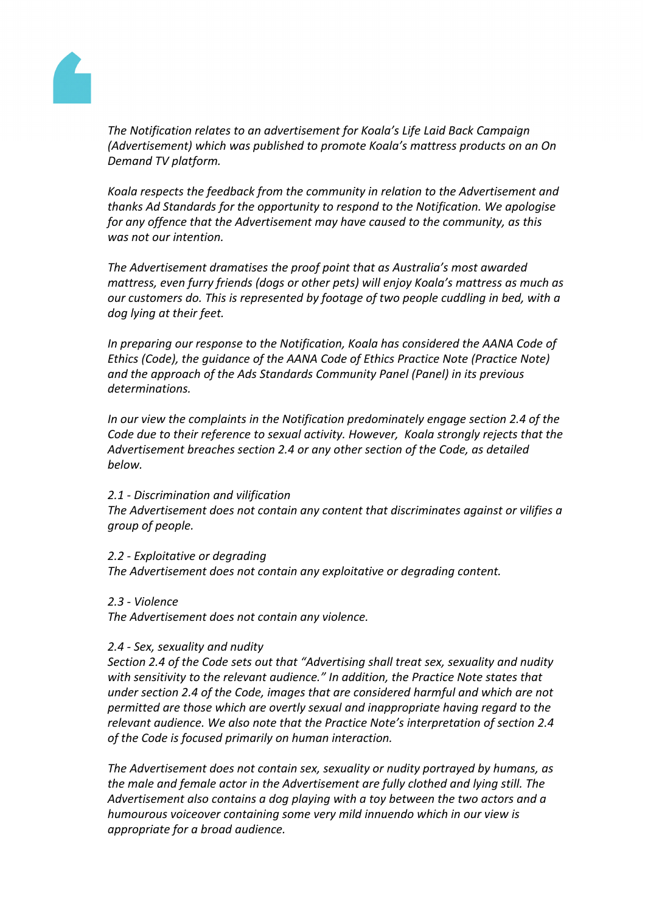

*The Notification relates to an advertisement for Koala's Life Laid Back Campaign (Advertisement) which was published to promote Koala's mattress products on an On Demand TV platform.*

*Koala respects the feedback from the community in relation to the Advertisement and thanks Ad Standards for the opportunity to respond to the Notification. We apologise for any offence that the Advertisement may have caused to the community, as this was not our intention.*

*The Advertisement dramatises the proof point that as Australia's most awarded mattress, even furry friends (dogs or other pets) will enjoy Koala's mattress as much as our customers do. This is represented by footage of two people cuddling in bed, with a dog lying at their feet.*

*In preparing our response to the Notification, Koala has considered the AANA Code of Ethics (Code), the guidance of the AANA Code of Ethics Practice Note (Practice Note) and the approach of the Ads Standards Community Panel (Panel) in its previous determinations.*

*In our view the complaints in the Notification predominately engage section 2.4 of the Code due to their reference to sexual activity. However, Koala strongly rejects that the Advertisement breaches section 2.4 or any other section of the Code, as detailed below.*

## *2.1 - Discrimination and vilification*

*The Advertisement does not contain any content that discriminates against or vilifies a group of people.*

## *2.2 - Exploitative or degrading*

*The Advertisement does not contain any exploitative or degrading content.*

*2.3 - Violence*

*The Advertisement does not contain any violence.*

## *2.4 - Sex, sexuality and nudity*

*Section 2.4 of the Code sets out that "Advertising shall treat sex, sexuality and nudity with sensitivity to the relevant audience." In addition, the Practice Note states that under section 2.4 of the Code, images that are considered harmful and which are not permitted are those which are overtly sexual and inappropriate having regard to the relevant audience. We also note that the Practice Note's interpretation of section 2.4 of the Code is focused primarily on human interaction.*

*The Advertisement does not contain sex, sexuality or nudity portrayed by humans, as the male and female actor in the Advertisement are fully clothed and lying still. The Advertisement also contains a dog playing with a toy between the two actors and a humourous voiceover containing some very mild innuendo which in our view is appropriate for a broad audience.*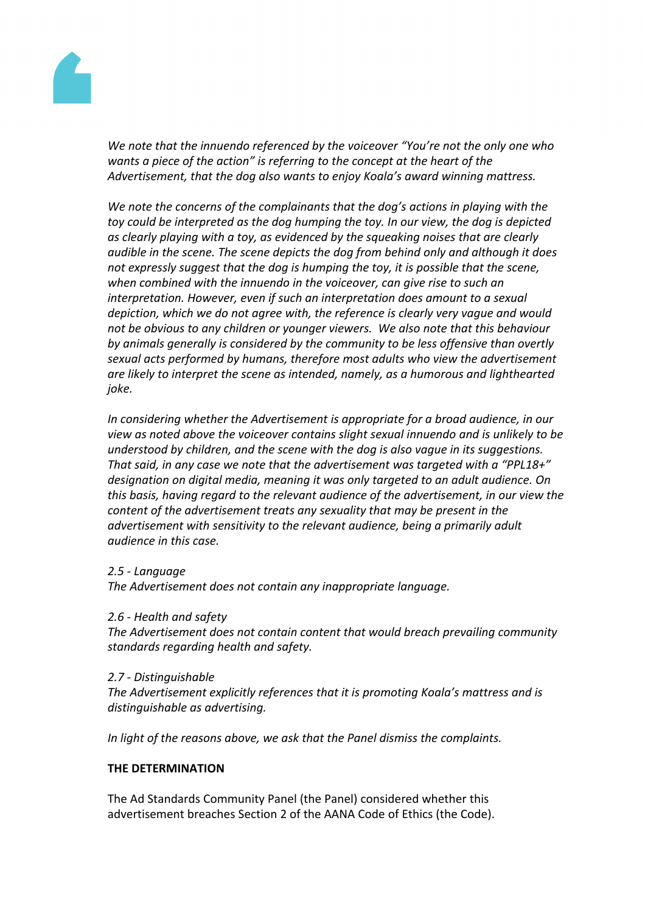

*We note that the innuendo referenced by the voiceover "You're not the only one who wants a piece of the action" is referring to the concept at the heart of the Advertisement, that the dog also wants to enjoy Koala's award winning mattress.*

*We note the concerns of the complainants that the dog's actions in playing with the toy could be interpreted as the dog humping the toy. In our view, the dog is depicted as clearly playing with a toy, as evidenced by the squeaking noises that are clearly audible in the scene. The scene depicts the dog from behind only and although it does not expressly suggest that the dog is humping the toy, it is possible that the scene, when combined with the innuendo in the voiceover, can give rise to such an interpretation. However, even if such an interpretation does amount to a sexual depiction, which we do not agree with, the reference is clearly very vague and would not be obvious to any children or younger viewers. We also note that this behaviour by animals generally is considered by the community to be less offensive than overtly sexual acts performed by humans, therefore most adults who view the advertisement are likely to interpret the scene as intended, namely, as a humorous and lighthearted joke.*

*In considering whether the Advertisement is appropriate for a broad audience, in our view as noted above the voiceover contains slight sexual innuendo and is unlikely to be understood by children, and the scene with the dog is also vague in its suggestions. That said, in any case we note that the advertisement was targeted with a "PPL18+" designation on digital media, meaning it was only targeted to an adult audience. On this basis, having regard to the relevant audience of the advertisement, in our view the content of the advertisement treats any sexuality that may be present in the advertisement with sensitivity to the relevant audience, being a primarily adult audience in this case.*

## *2.5 - Language*

*The Advertisement does not contain any inappropriate language.*

## *2.6 - Health and safety*

*The Advertisement does not contain content that would breach prevailing community standards regarding health and safety.*

# *2.7 - Distinguishable*

*The Advertisement explicitly references that it is promoting Koala's mattress and is distinguishable as advertising.*

*In light of the reasons above, we ask that the Panel dismiss the complaints.*

# **THE DETERMINATION**

The Ad Standards Community Panel (the Panel) considered whether this advertisement breaches Section 2 of the AANA Code of Ethics (the Code).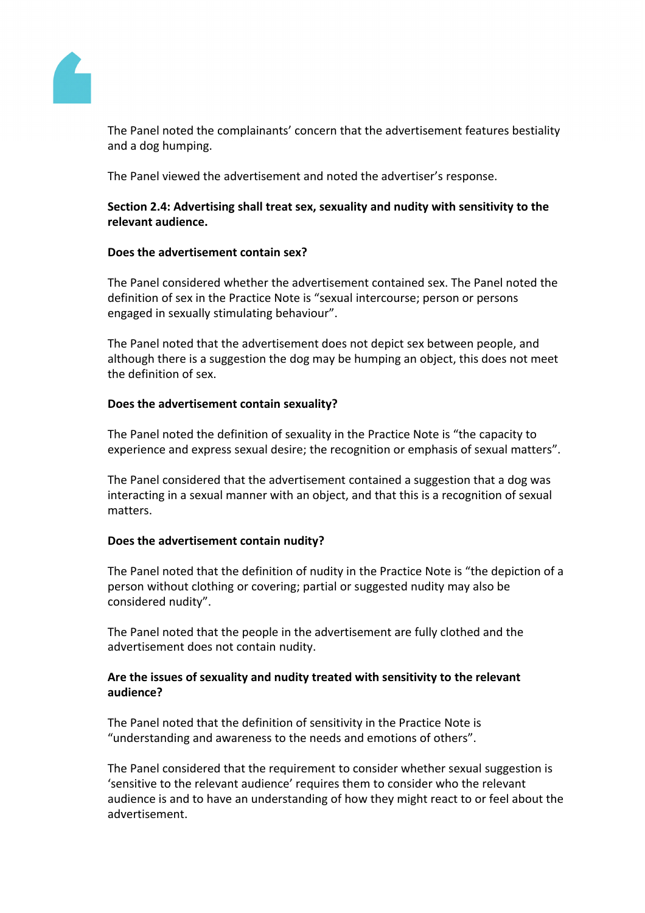

The Panel noted the complainants' concern that the advertisement features bestiality and a dog humping.

The Panel viewed the advertisement and noted the advertiser's response.

## **Section 2.4: Advertising shall treat sex, sexuality and nudity with sensitivity to the relevant audience.**

## **Does the advertisement contain sex?**

The Panel considered whether the advertisement contained sex. The Panel noted the definition of sex in the Practice Note is "sexual intercourse; person or persons engaged in sexually stimulating behaviour".

The Panel noted that the advertisement does not depict sex between people, and although there is a suggestion the dog may be humping an object, this does not meet the definition of sex.

#### **Does the advertisement contain sexuality?**

The Panel noted the definition of sexuality in the Practice Note is "the capacity to experience and express sexual desire; the recognition or emphasis of sexual matters".

The Panel considered that the advertisement contained a suggestion that a dog was interacting in a sexual manner with an object, and that this is a recognition of sexual matters.

## **Does the advertisement contain nudity?**

The Panel noted that the definition of nudity in the Practice Note is "the depiction of a person without clothing or covering; partial or suggested nudity may also be considered nudity".

The Panel noted that the people in the advertisement are fully clothed and the advertisement does not contain nudity.

## **Are the issues of sexuality and nudity treated with sensitivity to the relevant audience?**

The Panel noted that the definition of sensitivity in the Practice Note is "understanding and awareness to the needs and emotions of others".

The Panel considered that the requirement to consider whether sexual suggestion is 'sensitive to the relevant audience' requires them to consider who the relevant audience is and to have an understanding of how they might react to or feel about the advertisement.